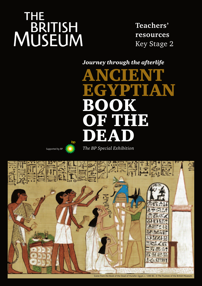# **THE** MUSEUM

**Teachers' resources** Key Stage 2

*Journey through the afterlife*

ANCIENT EGYPTIAN **BOOK** OF THE DEA

Supported by BP *The BP Special Exhibition*

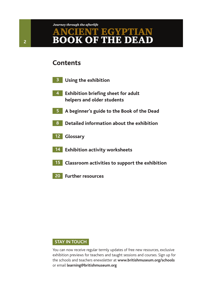### **Contents**

- **3 Using the exhibition**
- **4 Exhibition briefing sheet for adult helpers and older students**
- **5 A beginner's guide to the Book of the Dead**
- **8 Detailed information about the exhibition**
- **12 Glossary**
- **14 Exhibition activity worksheets**
- **15 Classroom activities to support the exhibition**
- **20 Further resources**

#### **STAY IN TOUCH**

You can now receive regular termly updates of free new resources, exclusive exhibition previews for teachers and taught sessions and courses. Sign up for the schools and teachers enewsletter at **www.britishmuseum.org/schools** or email **learning@britishmuseum.org**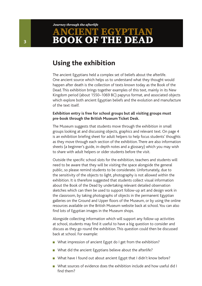### **Using the exhibition**

The ancient Egyptians held a complex set of beliefs about the afterlife. One ancient source which helps us to understand what they thought would happen after death is the collection of texts known today as the Book of the Dead. This exhibition brings together examples of this text, mainly in its New Kingdom period (about 1550–1069 BC) papyrus format, and associated objects which explore both ancient Egyptian beliefs and the evolution and manufacture of the text itself.

#### **Exhibition entry is free for school groups but all visiting groups must pre-book through the British Museum Ticket Desk.**

The Museum suggests that students move through the exhibition in small groups looking at and discussing objects, graphics and relevant text. On page 4 is an exhibition briefing sheet for adult helpers to help focus students' thoughts as they move through each section of the exhibition. There are also information sheets (a beginner's guide, in-depth notes and a glossary) which you may wish to share with adult helpers or older students before the visit.

Outside the specific school slots for the exhibition, teachers and students will need to be aware that they will be visiting the space alongside the general public, so please remind students to be considerate. Unfortunately, due to the sensitivity of the objects to light, photography is not allowed within the exhibition. It is therefore suggested that students collect visual information about the Book of the Dead by undertaking relevant detailed observation sketches which can then be used to support follow-up art and design work in the classroom, by taking photographs of objects in the permanent Egyptian galleries on the Ground and Upper floors of the Museum, or by using the online resources available on the British Museum website back at school. You can also find lots of Egyptian images in the Museum shops.

Alongside collecting information which will support any follow-up activities at school, students may find it useful to have a big question to consider and discuss as they go round the exhibition. This question could then be discussed back at school. For example:

- What impression of ancient Egypt do I get from the exhibition?
- What did the ancient Egyptians believe about the afterlife?
- What have I found out about ancient Egypt that I didn't know before?
- What sources of evidence does the exhibition include and how useful did I find them?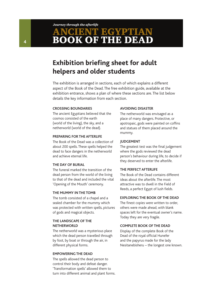# **Exhibition briefing sheet for adult helpers and older students**

The exhibition is arranged in sections, each of which explains a different aspect of the Book of the Dead. The free exhibition guide, available at the exhibition entrance, shows a plan of where these sections are. The list below details the key information from each section.

#### **Crossing boundaries**

The ancient Egyptians believed that the cosmos consisted of the earth (world of the living), the sky, and a netherworld (world of the dead).

#### **Preparing for the afterlife**

The Book of the Dead was a collection of about 200 spells. These spells helped the dead to face dangers in the netherworld and achieve eternal life.

#### **The day of burial**

The funeral marked the transition of the dead person from the world of the living to that of the dead and included the vital 'Opening of the Mouth' ceremony.

#### **The mummy in the tomb**

The tomb consisted of a chapel and a sealed chamber for the mummy which was protected with written spells, pictures of gods and magical objects.

#### **The landscape of the netherworld**

The netherworld was a mysterious place which the dead person travelled through by foot, by boat or through the air, in different physical forms.

#### **Empowering the dead**

The spells allowed the dead person to control their body and defeat danger. 'Transformation spells' allowed them to turn into different animal and plant forms.

#### **Avoiding disaster**

The netherworld was envisaged as a place of many dangers. Protective, or apotropaic, gods were painted on coffins and statues of them placed around the mummy.

#### **Judgement**

The greatest test was the final judgement where the gods reviewed the dead person's behaviour during life, to decide if they deserved to enter the afterlife.

#### **The perfect afterlife**

The Book of the Dead contains different ideas about the afterlife. The most attractive was to dwell in the Field of Reeds, a perfect Egypt of lush fields.

#### **Exploring the Book of the Dead**

The finest copies were written to order, others were made ahead, with blank spaces left for the eventual owner's name. Today they are very fragile.

#### **Complete Book of the Dead**

Display of the complete Book of the Dead of the royal official Hunefer and the papyrus made for the lady Nesitanebisheru – the longest one known.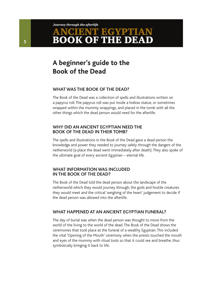# **A beginner's guide to the Book of the Dead**

#### **What was the Book of the Dead?**

The Book of the Dead was a collection of spells and illustrations written on a papyrus roll. The papyrus roll was put inside a hollow statue, or sometimes wrapped within the mummy wrappings, and placed in the tomb with all the other things which the dead person would need for the afterlife.

#### **Why did an ancient Egyptian need the Book of the Dead in their tomb?**

The spells and illustrations in the Book of the Dead gave a dead person the knowledge and power they needed to journey safely through the dangers of the netherworld (a place the dead went immediately after death). They also spoke of the ultimate goal of every ancient Egyptian – eternal life.

#### **What information was included in the Book of the Dead?**

The Book of the Dead told the dead person about the landscape of the netherworld which they would journey through, the gods and hostile creatures they would meet and the critical 'weighing of the heart' judgement to decide if the dead person was allowed into the afterlife.

#### **What happened at an ancient Egyptian funeral?**

The day of burial was when the dead person was thought to move from the world of the living to the world of the dead. The Book of the Dead shows the ceremonies that took place at the funeral of a wealthy Egyptian. This included the vital 'Opening of the Mouth' ceremony when the priests touched the mouth and eyes of the mummy with ritual tools so that it could see and breathe, thus symbolically bringing it back to life.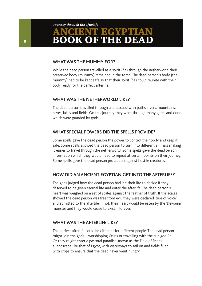#### **What was the mummy for?**

While the dead person travelled as a spirit (*ba*) through the netherworld their preserved body (mummy) remained in the tomb. The dead person's body (the mummy) had to be kept safe so that their spirit (*ba*) could reunite with their body ready for the perfect afterlife.

#### **What was the netherworld like?**

The dead person travelled through a landscape with paths, rivers, mountains, caves, lakes and fields. On this journey they went through many gates and doors which were guarded by gods.

#### **What special powers did the spells provide?**

Some spells gave the dead person the power to control their body and keep it safe. Some spells allowed the dead person to turn into different animals making it easier to travel through the netherworld. Some spells gave the dead person information which they would need to repeat at certain points on their journey. Some spells gave the dead person protection against hostile creatures.

#### **How did an ancient Egyptian get into the afterlife?**

The gods judged how the dead person had led their life to decide if they deserved to be given eternal life and enter the afterlife. The dead person's heart was weighed on a set of scales against the feather of truth. If the scales showed the dead person was free from evil, they were declared 'true of voice' and admitted to the afterlife. If not, their heart would be eaten by the 'Devourer' monster and they would cease to exist – forever.

#### **What was the afterlife like?**

The perfect afterlife could be different for different people. The dead person might join the gods – worshipping Osiris or travelling with the sun god Ra. Or they might enter a pastoral paradise known as the Field of Reeds – a landscape like that of Egypt, with waterways to sail on and fields filled with crops to ensure that the dead never went hungry.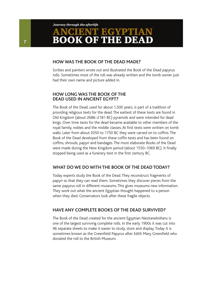#### **How was the Book of the Dead made?**

Scribes and painters wrote out and illustrated the Book of the Dead papyrus rolls. Sometimes most of the roll was already written and the tomb owner just had their own name and picture added in.

#### **How long was the Book of the Dead used in ancient Egypt?**

The Book of the Dead, used for about 1,500 years, is part of a tradition of providing religious texts for the dead. The earliest of these texts are found in Old Kingdom (about 2686–2181 BC) pyramids and were intended for dead kings. Over time texts for the dead became available to other members of the royal family, nobles and the middle classes. At first texts were written on tomb walls. Later from about 2050 to 1750 BC they were carved on to coffins. The Book of the Dead developed from these coffin texts and has been found on coffins, shrouds, papyri and bandages. The most elaborate Books of the Dead were made during the New Kingdom period (about 1550–1069 BC). It finally stopped being used as a funerary text in the first century BC.

#### **What do we do with the Book of the Dead today?**

Today experts study the Book of the Dead. They reconstruct fragments of papyri so that they can read them. Sometimes they discover pieces from the same papyrus roll in different museums. This gives museums new information. They work out what the ancient Egyptian thought happened to a person when they died. Conservators look after these fragile objects.

#### **Have any complete Books of the Dead survived?**

The Book of the Dead created for the ancient Egyptian Nesitanebisheru is one of the largest surviving complete rolls. In the early 1900s it was cut into 96 separate sheets to make it easier to study, store and display. Today it is sometimes known as the Greenfield Papyrus after Edith Mary Greenfield who donated the roll to the British Museum.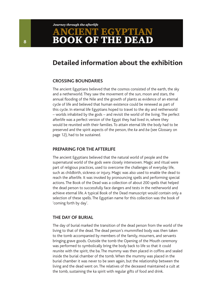### **Detailed information about the exhibition**

#### **Crossing boundaries**

The ancient Egyptians believed that the cosmos consisted of the earth, the sky and a netherworld. They saw the movement of the sun, moon and stars, the annual flooding of the Nile and the growth of plants as evidence of an eternal cycle of life and believed that human existence could be renewed as part of this cycle. In eternal life Egyptians hoped to travel to the sky and netherworld – worlds inhabited by the gods – and revisit the world of the living. The perfect afterlife was a perfect version of the Egypt they had lived in, where they would be reunited with their families. To attain eternal life the body had to be preserved and the spirit aspects of the person, the *ka* and *ba* (see Glossary on page 12), had to be sustained.

#### **Preparing for the afterlife**

The ancient Egyptians believed that the natural world of people and the supernatural world of the gods were closely interwoven. Magic and ritual were part of religious practices, used to overcome the challenges of everyday life, such as childbirth, sickness or injury. Magic was also used to enable the dead to reach the afterlife. It was invoked by pronouncing spells and performing special actions. The Book of the Dead was a collection of about 200 spells that helped the dead person to successfully face dangers and tests in the netherworld and achieve eternal life. A typical Book of the Dead manuscript would contain only a selection of these spells. The Egyptian name for this collection was the book of 'coming forth by day'.

#### **The day of burial**

The day of burial marked the transition of the dead person from the world of the living to that of the dead. The dead person's mummified body was then taken to the tomb accompanied by members of the family, mourners, and servants bringing grave goods. Outside the tomb the Opening of the Mouth ceremony was performed to symbolically bring the body back to life so that it could reunite with the spirit, the ba. The mummy was then placed in coffins and sealed inside the burial chamber of the tomb. When the mummy was placed in the burial chamber it was never to be seen again, but the relationship between the living and the dead went on. The relatives of the deceased maintained a cult at the tomb, sustaining the ka spirit with regular gifts of food and drink.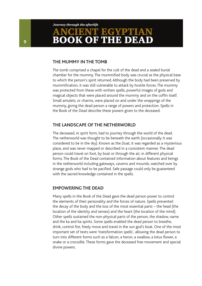#### **The mummy in the tomb**

The tomb comprised a chapel for the cult of the dead and a sealed burial chamber for the mummy. The mummified body was crucial as the physical base to which the person's spirit returned. Although the body had been preserved by mummification, it was still vulnerable to attack by hostile forces. The mummy was protected from these with written spells, powerful images of gods and magical objects that were placed around the mummy and on the coffin itself. Small amulets, or charms, were placed on and under the wrappings of the mummy, giving the dead person a range of powers and protection. Spells in the Book of the Dead describe these powers given to the deceased.

#### **The landscape of the netherworld**

The deceased, in spirit form, had to journey through the world of the dead. The netherworld was thought to be beneath the earth (occasionally it was considered to be in the sky). Known as the *Duat*, it was regarded as a mysterious place, and was never mapped or described in a consistent manner. The dead person could travel on foot, by boat or through the air, in different physical forms. The Book of the Dead contained information about features and beings in the netherworld including gateways, caverns and mounds, watched over by strange gods who had to be pacified. Safe passage could only be guaranteed with the sacred knowledge contained in the spells.

#### **Empowering the dead**

Many spells in the Book of the Dead gave the dead person power to control the elements of their personality and the forces of nature. Spells prevented the decay of the body and the loss of the most essential parts – the head (the location of the identity and senses) and the heart (the location of the mind). Other spells sustained the non-physical parts of the person, the shadow, name and the ka and ba spirits. Some spells enabled the dead person to breathe, drink, control fire, freely move and travel in the sun god's boat. One of the most important set of texts were 'transformation spells', allowing the dead person to turn into different forms such as a falcon, a heron, a swallow, a lotus flower, a snake or a crocodile. These forms gave the deceased free movement and special divine powers.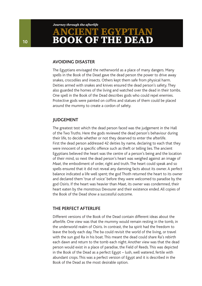#### **Avoiding disaster**

The Egyptians envisaged the netherworld as a place of many dangers. Many spells in the Book of the Dead gave the dead person the power to drive away snakes, crocodiles and insects. Others kept them safe from physical harm. Deities armed with snakes and knives ensured the dead person's safety. They also guarded the homes of the living and watched over the dead in their tombs. One spell in the Book of the Dead describes gods who could repel enemies. Protective gods were painted on coffins and statues of them could be placed around the mummy to create a cordon of safety.

#### **Judgement**

The greatest test which the dead person faced was the judgement in the Hall of the Two Truths. Here the gods reviewed the dead person's behaviour during their life, to decide whether or not they deserved to enter the afterlife. First the dead person addressed 42 deities by name, declaring to each that they were innocent of a specific offence such as theft or telling lies. The ancient Egyptians believed the heart was the centre of a person's being and the location of their mind, so next the dead person's heart was weighed against an image of *Maat*, the embodiment of order, right and truth. The heart could speak and so spells ensured that it did not reveal any damning facts about its owner. A perfect balance indicated a life well spent; the god Thoth returned the heart to its owner and declared them 'true of voice' before they were welcomed to paradise by the god Osiris. If the heart was heavier than *Maat*, its owner was condemned, their heart eaten by the monstrous Devourer and their existence ended. All copies of the Book of the Dead show a successful outcome.

#### **The perfect afterlife**

Different versions of the Book of the Dead contain different ideas about the afterlife. One view was that the mummy would remain resting in the tomb, in the underworld realm of Osiris. In contrast, the ba spirit had the freedom to leave the body each day. The ba could revisit the world of the living, or travel with the sun god Ra in his boat. This meant the dead could share Ra's rebirth each dawn and return to the tomb each night. Another view was that the dead person would exist in a place of paradise, the Field of Reeds. This was depicted in the Book of the Dead as a perfect Egypt – lush, well watered, fertile with abundant crops. This was a perfect version of Egypt and it is described in the Book of the Dead as the most desirable option.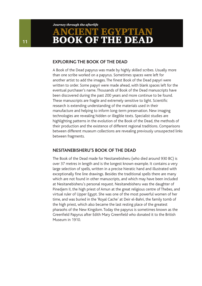#### **Exploring the Book of the Dead**

A Book of the Dead papyrus was made by highly skilled scribes. Usually more than one scribe worked on a papyrus. Sometimes spaces were left for another artist to add the images. The finest Book of the Dead papyri were written to order. Some papyri were made ahead, with blank spaces left for the eventual purchaser's name. Thousands of Book of the Dead manuscripts have been discovered during the past 200 years and more continue to be found. These manuscripts are fragile and extremely sensitive to light. Scientific research is extending understanding of the materials used in their manufacture and helping to inform long-term preservation. New imaging technologies are revealing hidden or illegible texts. Specialist studies are highlighting patterns in the evolution of the Book of the Dead, the methods of their production and the existence of different regional traditions. Comparisons between different museum collections are revealing previously unsuspected links between fragments.

#### **Nesitanebisheru's Book of the Dead**

The Book of the Dead made for Nesitanebisheru (who died around 930 BC) is over 37 metres in length and is the longest known example. It contains a very large selection of spells, written in a precise hieratic hand and illustrated with exceptionally fine line drawings. Besides the traditional spells there are many which are not found in other manuscripts, and which may have been included at Nesitanebisheru's personal request. Nesitanebisheru was the daughter of Pinedjem II, the high priest of Amun at the great religious centre of Thebes, and virtual ruler of Upper Egypt. She was one of the most powerful women of her time, and was buried in the 'Royal Cache' at Deir el-Bahri, the family tomb of the high priest, which also became the last resting place of the greatest pharaohs of the New Kingdom. Today the papyrus is sometimes known as the Greenfield Papyrus after Edith Mary Greenfield who donated it to the British Museum in 1910.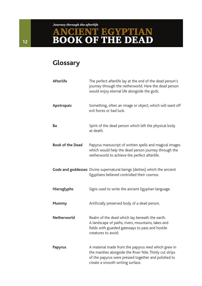# **Glossary**

| <b>Afterlife</b>        | The perfect afterlife lay at the end of the dead person's<br>journey through the netherworld. Here the dead person<br>would enjoy eternal life alongside the gods.                                         |
|-------------------------|------------------------------------------------------------------------------------------------------------------------------------------------------------------------------------------------------------|
| Apotropaic              | Something, often an image or object, which will ward off<br>evil forces or bad luck.                                                                                                                       |
| Ba                      | Spirit of the dead person which left the physical body<br>at death.                                                                                                                                        |
| <b>Book of the Dead</b> | Papyrus manuscript of written spells and magical images<br>which would help the dead person journey through the<br>netherworld to achieve the perfect afterlife.                                           |
|                         | Gods and goddesses Divine supernatural beings (deities) which the ancient<br>Egyptians believed controlled their cosmos.                                                                                   |
| <b>Hieroglyphs</b>      | Signs used to write the ancient Egyptian language.                                                                                                                                                         |
| <b>Mummy</b>            | Artificially preserved body of a dead person.                                                                                                                                                              |
| Netherworld             | Realm of the dead which lay beneath the earth.<br>A landscape of paths, rivers, mountains, lakes and<br>fields with guarded gateways to pass and hostile<br>creatures to avoid.                            |
| <b>Papyrus</b>          | A material made from the papyrus reed which grew in<br>the marshes alongside the River Nile. Thinly cut strips<br>of the papyrus were pressed together and polished to<br>create a smooth writing surface. |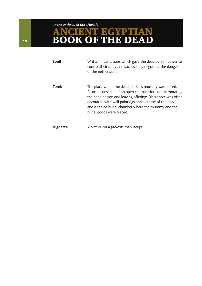#### *Journey through the afterlife*

# ANCIENT EGYPTIAN BOOK OF THE DEAD

| <b>Spell</b> | Written incantations which gave the dead person power to<br>control their body and successfully negotiate the dangers<br>of the netherworld.                                                                                                                                                                               |
|--------------|----------------------------------------------------------------------------------------------------------------------------------------------------------------------------------------------------------------------------------------------------------------------------------------------------------------------------|
| Tomb         | The place where the dead person's mummy was placed.<br>A tomb consisted of an open chamber for commemorating<br>the dead person and leaving offerings (this space was often<br>decorated with wall paintings and a statue of the dead)<br>and a sealed burial chamber where the mummy and the<br>burial goods were placed. |
| Vignette     | A picture on a papyrus manuscript.                                                                                                                                                                                                                                                                                         |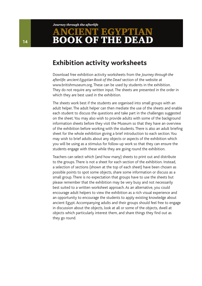### **Exhibition activity worksheets**

Download free exhibition activity worksheets from the *Journey through the afterlife: ancient Egyptian Book of the Dead* section of the website at www.britishmuseum.org. These can be used by students in the exhibition. They do not require any written input. The sheets are presented in the order in which they are best used in the exhibition.

The sheets work best if the students are organised into small groups with an adult helper. The adult helper can then mediate the use of the sheets and enable each student to discuss the questions and take part in the challenges suggested on the sheet. You may also wish to provide adults with some of the background information sheets before they visit the Museum so that they have an overview of the exhibition before working with the students. There is also an adult briefing sheet for the whole exhibition giving a brief introduction to each section. You may wish to brief adults about any objects or aspects of the exhibition which you will be using as a stimulus for follow-up work so that they can ensure the students engage with these while they are going round the exhibition.

Teachers can select which (and how many) sheets to print out and distribute to the groups. There is not a sheet for each section of the exhibition. Instead, a selection of sections (shown at the top of each sheet) have been chosen as possible points to spot some objects, share some information or discuss as a small group. There is no expectation that groups have to use the sheets but please remember that the exhibition may be very busy and not necessarily best suited to a written worksheet approach. As an alternative, you could encourage adult helpers to view the exhibition as a rich visual experience and an opportunity to encourage the students to apply existing knowledge about ancient Egypt. Accompanying adults and their groups should feel free to engage in discussion about the objects, look at all or some of the objects, dwell at objects which particularly interest them, and share things they find out as they go round.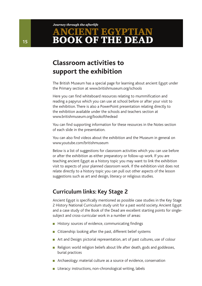#### *Journey through the afterlife*

# ENT EGYPTIAN **BOOK OF THE DEA**

# **Classroom activities to support the exhibition**

The British Museum has a special page for learning about ancient Egypt under the Primary section at www.britishmuseum.org/schools

Here you can find whiteboard resources relating to mummification and reading a papyrus which you can use at school before or after your visit to the exhibition. There is also a PowerPoint presentation relating directly to the exhibition available under the schools and teachers section at www.britishmuseum.org/bookofthedead

You can find supporting information for these resources in the Notes section of each slide in the presentation.

You can also find videos about the exhibition and the Museum in general on www.youtube.com/britishmuseum

Below is a list of suggestions for classroom activities which you can use before or after the exhibition as either preparatory or follow-up work. If you are teaching ancient Egypt as a history topic you may want to link the exhibition visit to aspects of your planned classroom work. If the exhibition visit does not relate directly to a history topic you can pull out other aspects of the lesson suggestions such as art and design, literacy or religious studies.

### **Curriculum links: Key Stage 2**

Ancient Egypt is specifically mentioned as possible case studies in the Key Stage 2 History National Curriculum study unit for a past world society. Ancient Egypt and a case study of the Book of the Dead are excellent starting points for singlesubject and cross-curricular work in a number of areas:

- History: sources of evidence, communicating findings
- Citizenship: looking after the past, different belief systems
- Art and Design: pictorial representation, art of past cultures, use of colour
- **n** Religion: world religion beliefs about life after death, gods and goddesses, burial practices
- **n** Archaeology: material culture as a source of evidence, conservation
- Literacy: instructions, non-chronological writing, labels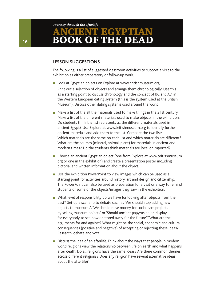#### **Lesson suggestions**

The following is a list of suggested classroom activities to support a visit to the exhibition as either preparatory or follow-up work.

- Look at Egyptian objects on Explore at www.britishmuseum.org Print out a selection of objects and arrange them chronologically. Use this as a starting point to discuss chronology and the concept of BC and AD in the Western European dating system (this is the system used at the British Museum). Discuss other dating systems used around the world.
- Make a list of the all the materials used to make things in the 21st century. Make a list of the different materials used to make objects in the exhibition. Do students think the list represents all the different materials used in ancient Egypt? Use Explore at www.britishmuseum.org to identify further ancient materials and add them to the list. Compare the two lists. Which materials are the same on each list and which materials are different? What are the sources (mineral, animal, plant) for materials in ancient and modern times? Do the students think materials are local or imported?
- Choose an ancient Egyptian object (one from Explore at www.britishmuseum. org or one in the exhibition) and create a presentation poster including pictorial and written information about the object.
- Use the exhibition PowerPoint to view images which can be used as a starting point for activities around history, art and design and citizenship. The PowerPoint can also be used as preparation for a visit or a way to remind students of some of the objects/images they saw in the exhibition.
- **n** What level of responsibility do we have for looking after objects from the past? Set up a scenario to debate such as 'We should stop adding new objects to museums', 'We should raise money for social care projects by selling museum objects' or 'Should ancient papyrus be on display for everybody to see now or stored away for the future?' What are the arguments for and against? What might be the social, economic and cultural consequences (positive and negative) of accepting or rejecting these ideas? Research, debate and vote.
- Discuss the idea of an afterlife. Think about the ways that people in modern world religions view the relationship between life on earth and what happens after death. Do all religions have the same ideas? Are there common themes across different religions? Does any religion have several alternative ideas about the afterlife?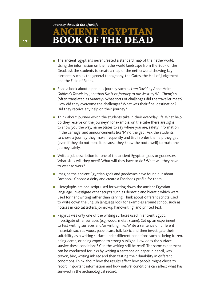- The ancient Egyptians never created a standard map of the netherworld. Using the information on the netherworld landscape from the Book of the Dead, ask the students to create a map of the netherworld showing key elements such as the general topography, the Gates, the Hall of Judgement and the Field of Reeds.
- Read a book about a perilous journey such as *I am David* by Anne Holm, *Gulliver's Travels* by Jonathan Swift or *Journey to the West* by Wu Cheng'en (often translated as *Monkey*). What sorts of challenges did the traveller meet? How did they overcome the challenges? What was their final destination? Did they receive any help on their journey?
- $\blacksquare$  Think about journey which the students take in their everyday life. What help do they receive on the journey? For example, on the tube there are signs to show you the way, name plates to say where you are, safety information in the carriage, and announcements like 'Mind the gap'. Ask the students to chose a journey they make frequently and list in order the help they get (even if they do not need it because they know the route well) to make the journey safely.
- Write a job description for one of the ancient Egyptian gods or goddesses. What skills will they need? What will they have to do? What will they have to wear to work?
- n Imagine the ancient Egyptian gods and goddesses have found out about Facebook. Choose a deity and create a Facebook profile for them.
- $\blacksquare$  Hieroglyphs are one script used for writing down the ancient Egyptian language. Investigate other scripts such as demotic and hieratic which were used for handwriting rather than carving. Think about different scripts used to write down the English language look for examples around school such as notices in capital letters, joined-up handwriting, and printed text.
- $\blacksquare$  Papyrus was only one of the writing surfaces used in ancient Egypt. Investigate other surfaces (e.g. wood, metal, stone). Set up an experiment to test writing surfaces and/or writing inks. Write a sentence on different materials such as wood, paper, card, foil, fabric and then investigate their suitability as a writing surface under different conditions such as being frozen, being damp, or being exposed to strong sunlight. How does the surface survive these conditions? Can the writing still be read? The same experiment can be conducted for inks by writing a sentence on paper in pencil, wax crayon, biro, writing ink etc and then testing their durability in different conditions. Think about how the results affect how people might chose to record important information and how natural conditions can affect what has survived in the archaeological record.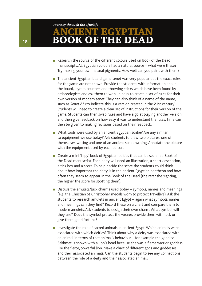- <sup>n</sup> Research the source of the different colours used on Book of the Dead manuscripts. All Egyptian colours had a natural source – what were these? Try making your own natural pigments. How well can you paint with them?
- $\blacksquare$  The ancient Egyptian board game senet was very popular but the exact rules for the game are not known. Provide the students with information about the board, layout, counters and throwing sticks which have been found by archaeologists and ask them to work in pairs to create a set of rules for their own version of modern senet. They can also think of a name of the name, such as *Senet 21* (to indicate this is a version created in the 21st century). Students will need to create a clear set of instructions for their version of the game. Students can then swap rules and have a go at playing another version and then give feedback on how easy it was to understand the rules. Time can then be given to making revisions based on their feedback.
- $\blacksquare$  What tools were used by an ancient Egyptian scribe? Are any similar to equipment we use today? Ask students to draw two pictures, one of themselves writing and one of an ancient scribe writing. Annotate the picture with the equipment used by each person.
- Create a mini 'I spy' book of Egyptian deities that can be seen in a Book of the Dead manuscript. Each deity will need an illustration, a short description, a tick box and a score. To help decide the score the students could think about how important the deity is in the ancient Egyptian pantheon and how often they seem to appear in the Book of the Dead (the rarer the sighting, the higher the score for spotting them).
- **Discuss the amulets/luck charms used today symbols, names and meanings** (e.g. the Christian St Christopher medals worn to protect travellers). Ask the students to research amulets in ancient Egypt – again what symbols, names and meanings can they find? Record these on a chart and compare them to modern amulets. Ask students to design their own charm. What symbol will they use? Does the symbol protect the wearer, provide them with luck or give them good fortune?
- **n** Investigate the role of sacred animals in ancient Egypt. Which animals were associated with which deities? Think about why a deity was associated with an animal in terms of that animal's behaviour – for example the goddess Sekhmet is shown with a lion's head because she was a fierce warrior goddess like the fierce, powerful lion. Make a chart of different gods and goddesses and their associated animals. Can the students begin to see any connections between the role of a deity and their associated animal?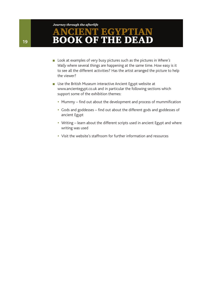#### *Journey through the afterlife*

# T EGYPTIAN **DK OF THE DE**

- Look at examples of very busy pictures such as the pictures in *Where's Wally* where several things are happening at the same time. How easy is it to see all the different activities? Has the artist arranged the picture to help the viewer?
- **n** Use the British Museum interactive Ancient Egypt website at www.ancientegypt.co.uk and in particular the following sections which support some of the exhibition themes:
	- Mummy find out about the development and process of mummification
	- Gods and goddesses find out about the different gods and goddesses of ancient Egypt
	- Writing learn about the different scripts used in ancient Egypt and where writing was used
	- Visit the website's staffroom for further information and resources